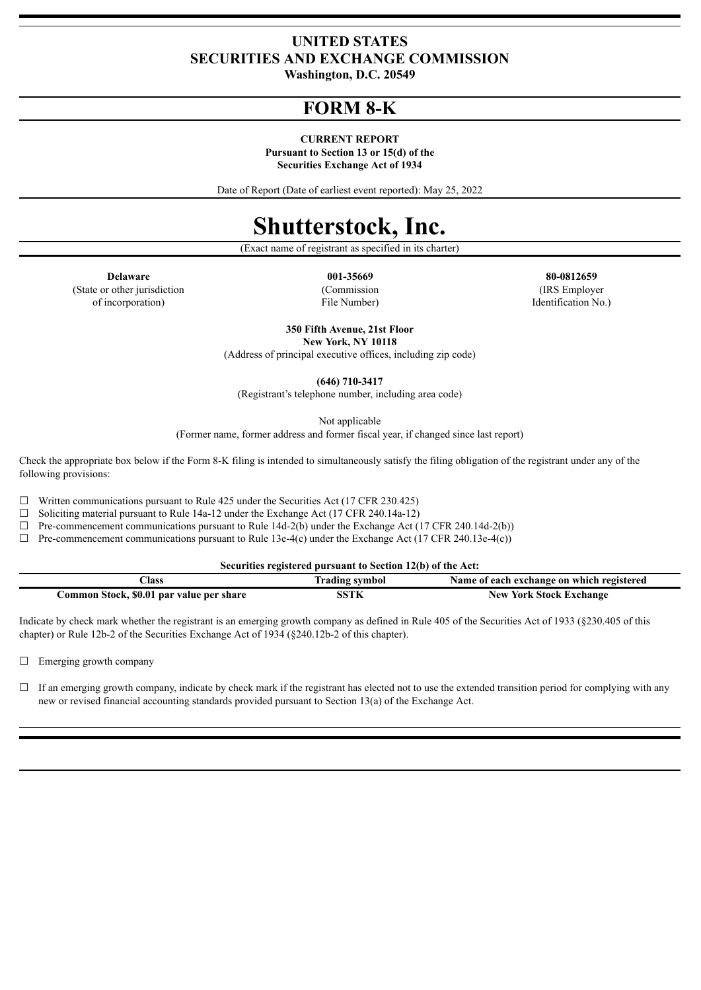### **UNITED STATES SECURITIES AND EXCHANGE COMMISSION**

**Washington, D.C. 20549**

## **FORM 8-K**

#### **CURRENT REPORT**

**Pursuant to Section 13 or 15(d) of the Securities Exchange Act of 1934**

Date of Report (Date of earliest event reported): May 25, 2022

# **Shutterstock, Inc.**

(Exact name of registrant as specified in its charter)

(State or other jurisdiction of incorporation)

(Commission File Number)

**Delaware 001-35669 80-0812659** (IRS Employer Identification No.)

> **350 Fifth Avenue, 21st Floor New York, NY 10118**

(Address of principal executive offices, including zip code)

**(646) 710-3417**

(Registrant's telephone number, including area code)

Not applicable

(Former name, former address and former fiscal year, if changed since last report)

Check the appropriate box below if the Form 8-K filing is intended to simultaneously satisfy the filing obligation of the registrant under any of the following provisions:

 $\Box$  Written communications pursuant to Rule 425 under the Securities Act (17 CFR 230.425)

 $\Box$  Soliciting material pursuant to Rule 14a-12 under the Exchange Act (17 CFR 240.14a-12)

 $\Box$  Pre-commencement communications pursuant to Rule 14d-2(b) under the Exchange Act (17 CFR 240.14d-2(b))

 $\Box$  Pre-commencement communications pursuant to Rule 13e-4(c) under the Exchange Act (17 CFR 240.13e-4(c))

**Securities registered pursuant to Section 12(b) of the Act:**

| lass                                     | <b>Trading symbol</b> | Name of each exchange on which registered |
|------------------------------------------|-----------------------|-------------------------------------------|
| Common Stock, \$0.01 par value per share | SSTK                  | <b>New York Stock Exchange</b>            |

Indicate by check mark whether the registrant is an emerging growth company as defined in Rule 405 of the Securities Act of 1933 (§230.405 of this chapter) or Rule 12b-2 of the Securities Exchange Act of 1934 (§240.12b-2 of this chapter).

□ Emerging growth company

 $\Box$  If an emerging growth company, indicate by check mark if the registrant has elected not to use the extended transition period for complying with any new or revised financial accounting standards provided pursuant to Section 13(a) of the Exchange Act.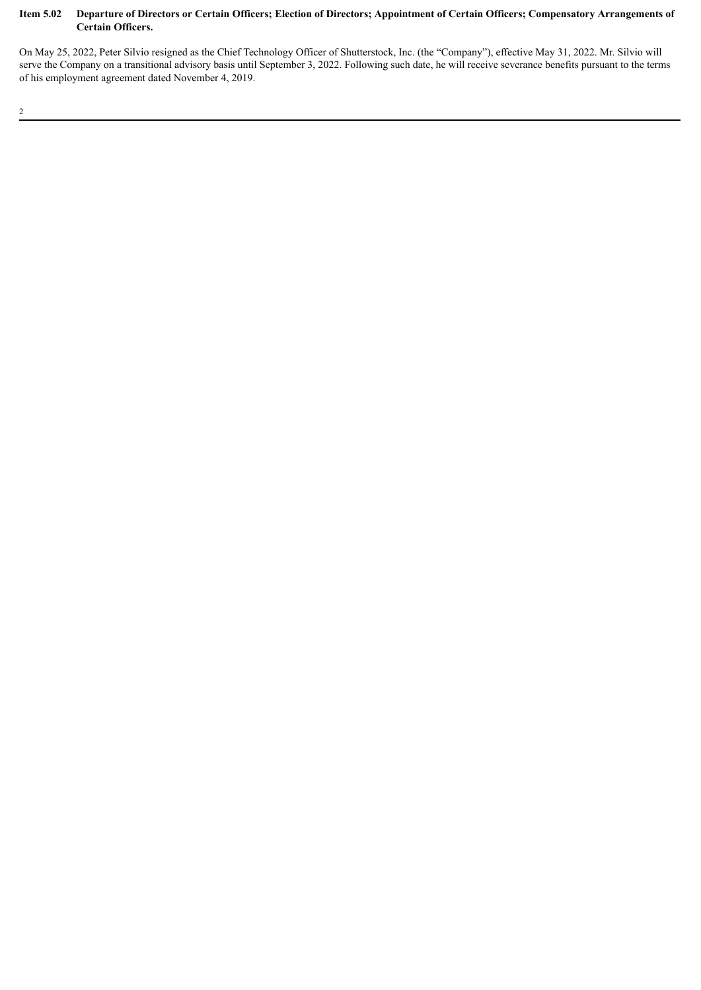### Item 5.02 Departure of Directors or Certain Officers; Election of Directors; Appointment of Certain Officers; Compensatory Arrangements of **Certain Officers.**

On May 25, 2022, Peter Silvio resigned as the Chief Technology Officer of Shutterstock, Inc. (the "Company"), effective May 31, 2022. Mr. Silvio will serve the Company on a transitional advisory basis until September 3, 2022. Following such date, he will receive severance benefits pursuant to the terms of his employment agreement dated November 4, 2019.